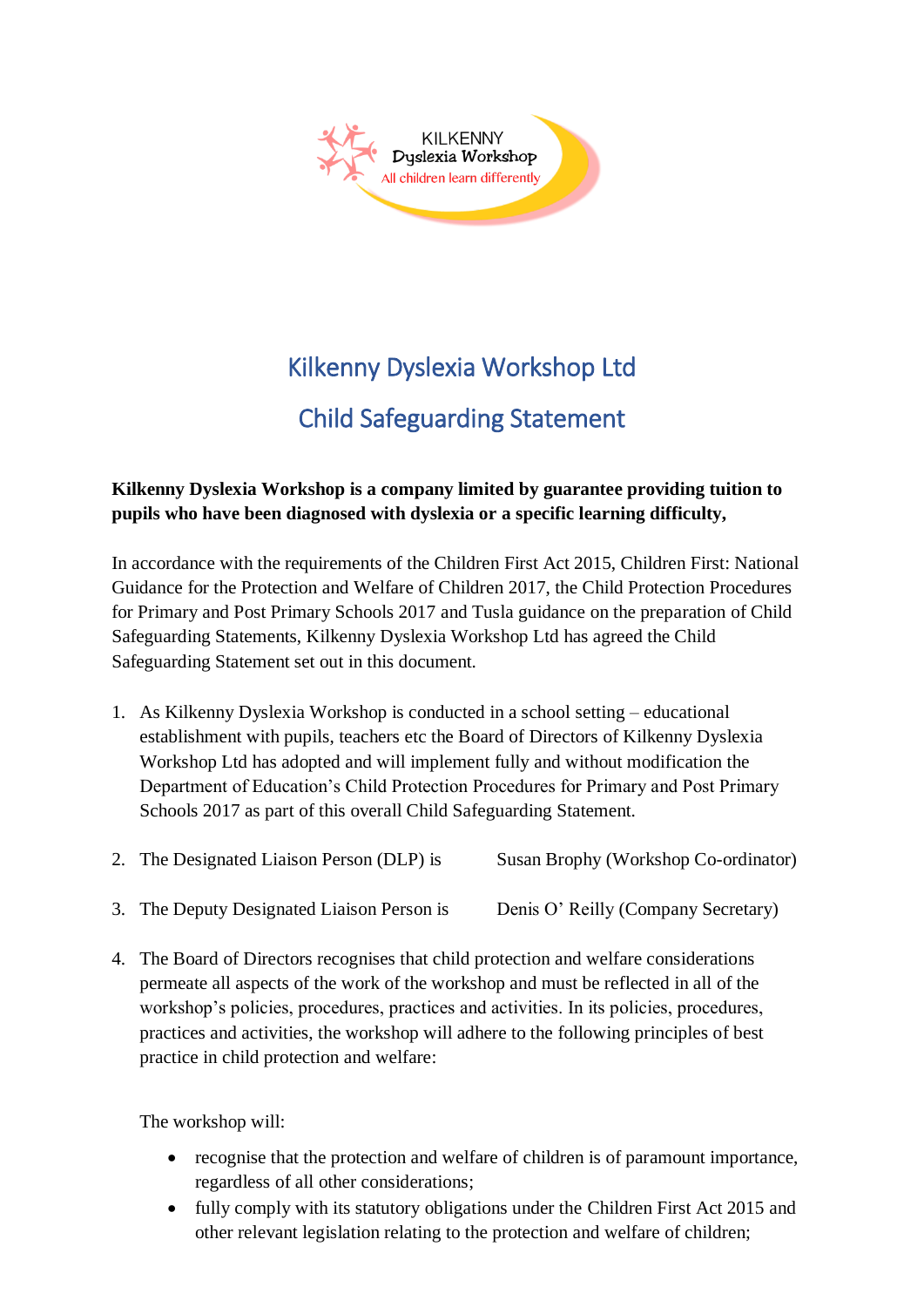

# Kilkenny Dyslexia Workshop Ltd

## Child Safeguarding Statement

#### **Kilkenny Dyslexia Workshop is a company limited by guarantee providing tuition to pupils who have been diagnosed with dyslexia or a specific learning difficulty,**

In accordance with the requirements of the Children First Act 2015, Children First: National Guidance for the Protection and Welfare of Children 2017, the Child Protection Procedures for Primary and Post Primary Schools 2017 and Tusla guidance on the preparation of Child Safeguarding Statements, Kilkenny Dyslexia Workshop Ltd has agreed the Child Safeguarding Statement set out in this document.

- 1. As Kilkenny Dyslexia Workshop is conducted in a school setting educational establishment with pupils, teachers etc the Board of Directors of Kilkenny Dyslexia Workshop Ltd has adopted and will implement fully and without modification the Department of Education's Child Protection Procedures for Primary and Post Primary Schools 2017 as part of this overall Child Safeguarding Statement.
- 2. The Designated Liaison Person (DLP) is Susan Brophy (Workshop Co-ordinator)
- 3. The Deputy Designated Liaison Person is Denis O' Reilly (Company Secretary)
- 4. The Board of Directors recognises that child protection and welfare considerations permeate all aspects of the work of the workshop and must be reflected in all of the workshop's policies, procedures, practices and activities. In its policies, procedures, practices and activities, the workshop will adhere to the following principles of best practice in child protection and welfare:

The workshop will:

- recognise that the protection and welfare of children is of paramount importance, regardless of all other considerations;
- fully comply with its statutory obligations under the Children First Act 2015 and other relevant legislation relating to the protection and welfare of children;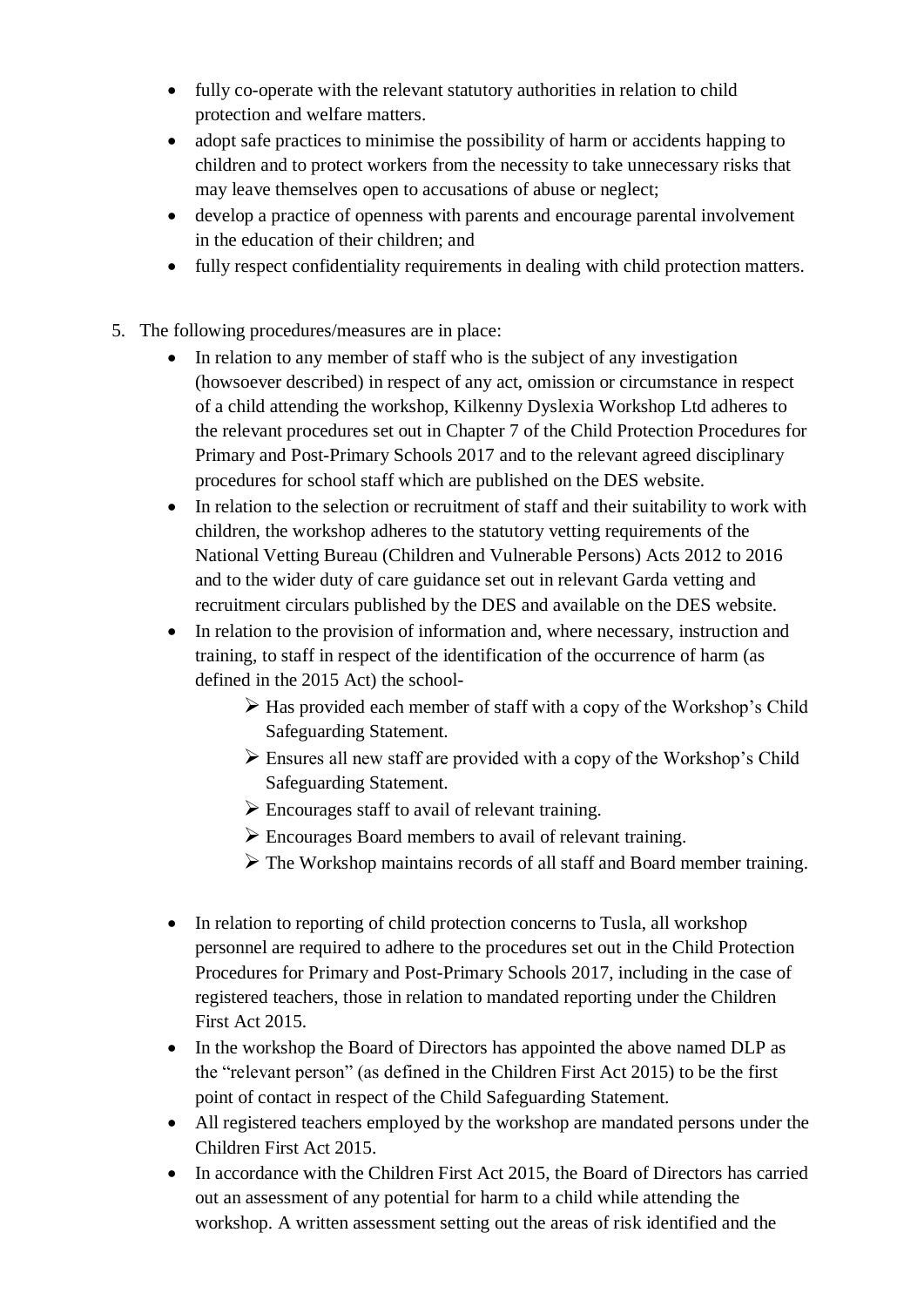- fully co-operate with the relevant statutory authorities in relation to child protection and welfare matters.
- adopt safe practices to minimise the possibility of harm or accidents happing to children and to protect workers from the necessity to take unnecessary risks that may leave themselves open to accusations of abuse or neglect;
- develop a practice of openness with parents and encourage parental involvement in the education of their children; and
- fully respect confidentiality requirements in dealing with child protection matters.
- 5. The following procedures/measures are in place:
	- In relation to any member of staff who is the subject of any investigation (howsoever described) in respect of any act, omission or circumstance in respect of a child attending the workshop, Kilkenny Dyslexia Workshop Ltd adheres to the relevant procedures set out in Chapter 7 of the Child Protection Procedures for Primary and Post-Primary Schools 2017 and to the relevant agreed disciplinary procedures for school staff which are published on the DES website.
	- In relation to the selection or recruitment of staff and their suitability to work with children, the workshop adheres to the statutory vetting requirements of the National Vetting Bureau (Children and Vulnerable Persons) Acts 2012 to 2016 and to the wider duty of care guidance set out in relevant Garda vetting and recruitment circulars published by the DES and available on the DES website.
	- In relation to the provision of information and, where necessary, instruction and training, to staff in respect of the identification of the occurrence of harm (as defined in the 2015 Act) the school-
		- $\triangleright$  Has provided each member of staff with a copy of the Workshop's Child Safeguarding Statement.
		- $\triangleright$  Ensures all new staff are provided with a copy of the Workshop's Child Safeguarding Statement.
		- $\triangleright$  Encourages staff to avail of relevant training.
		- ➢ Encourages Board members to avail of relevant training.
		- ➢ The Workshop maintains records of all staff and Board member training.
	- In relation to reporting of child protection concerns to Tusla, all workshop personnel are required to adhere to the procedures set out in the Child Protection Procedures for Primary and Post-Primary Schools 2017, including in the case of registered teachers, those in relation to mandated reporting under the Children First Act 2015.
	- In the workshop the Board of Directors has appointed the above named DLP as the "relevant person" (as defined in the Children First Act 2015) to be the first point of contact in respect of the Child Safeguarding Statement.
	- All registered teachers employed by the workshop are mandated persons under the Children First Act 2015.
	- In accordance with the Children First Act 2015, the Board of Directors has carried out an assessment of any potential for harm to a child while attending the workshop. A written assessment setting out the areas of risk identified and the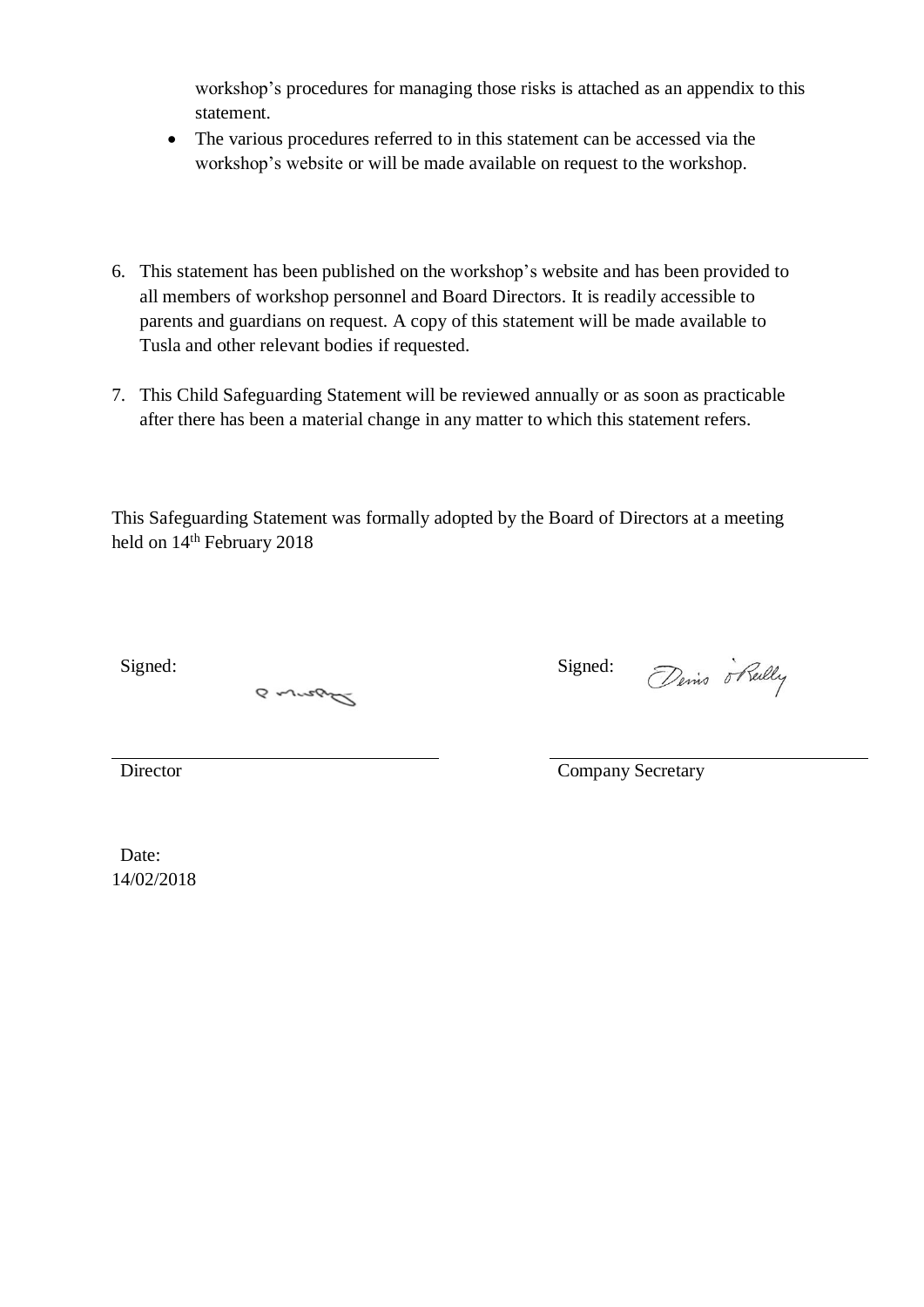workshop's procedures for managing those risks is attached as an appendix to this statement.

- The various procedures referred to in this statement can be accessed via the workshop's website or will be made available on request to the workshop.
- 6. This statement has been published on the workshop's website and has been provided to all members of workshop personnel and Board Directors. It is readily accessible to parents and guardians on request. A copy of this statement will be made available to Tusla and other relevant bodies if requested.
- 7. This Child Safeguarding Statement will be reviewed annually or as soon as practicable after there has been a material change in any matter to which this statement refers.

This Safeguarding Statement was formally adopted by the Board of Directors at a meeting held on  $14<sup>th</sup>$  February 2018

Signed: Signed: Signed:

a wrong

Denis o Reilly

Director Company Secretary

Date: 14/02/2018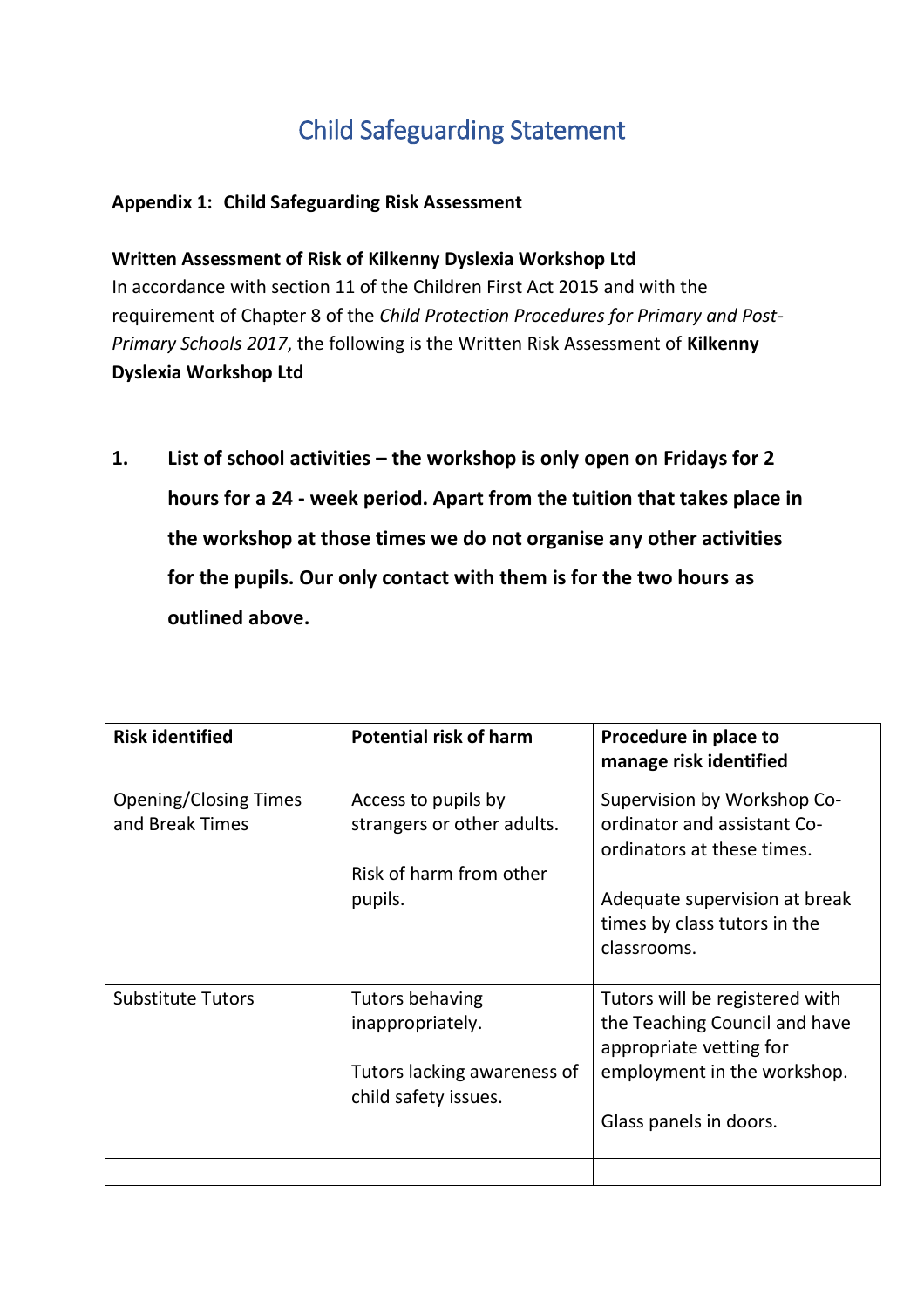## Child Safeguarding Statement

#### **Appendix 1: Child Safeguarding Risk Assessment**

**Written Assessment of Risk of Kilkenny Dyslexia Workshop Ltd** In accordance with section 11 of the Children First Act 2015 and with the requirement of Chapter 8 of the *Child Protection Procedures for Primary and Post-Primary Schools 2017*, the following is the Written Risk Assessment of **Kilkenny Dyslexia Workshop Ltd**

**1. List of school activities – the workshop is only open on Fridays for 2 hours for a 24 - week period. Apart from the tuition that takes place in the workshop at those times we do not organise any other activities for the pupils. Our only contact with them is for the two hours as outlined above.**

| <b>Risk identified</b>                          | <b>Potential risk of harm</b>                                                | Procedure in place to<br>manage risk identified                                            |
|-------------------------------------------------|------------------------------------------------------------------------------|--------------------------------------------------------------------------------------------|
| <b>Opening/Closing Times</b><br>and Break Times | Access to pupils by<br>strangers or other adults.<br>Risk of harm from other | Supervision by Workshop Co-<br>ordinator and assistant Co-<br>ordinators at these times.   |
|                                                 | pupils.                                                                      | Adequate supervision at break<br>times by class tutors in the<br>classrooms.               |
| <b>Substitute Tutors</b>                        | Tutors behaving<br>inappropriately.                                          | Tutors will be registered with<br>the Teaching Council and have<br>appropriate vetting for |
|                                                 | Tutors lacking awareness of<br>child safety issues.                          | employment in the workshop.<br>Glass panels in doors.                                      |
|                                                 |                                                                              |                                                                                            |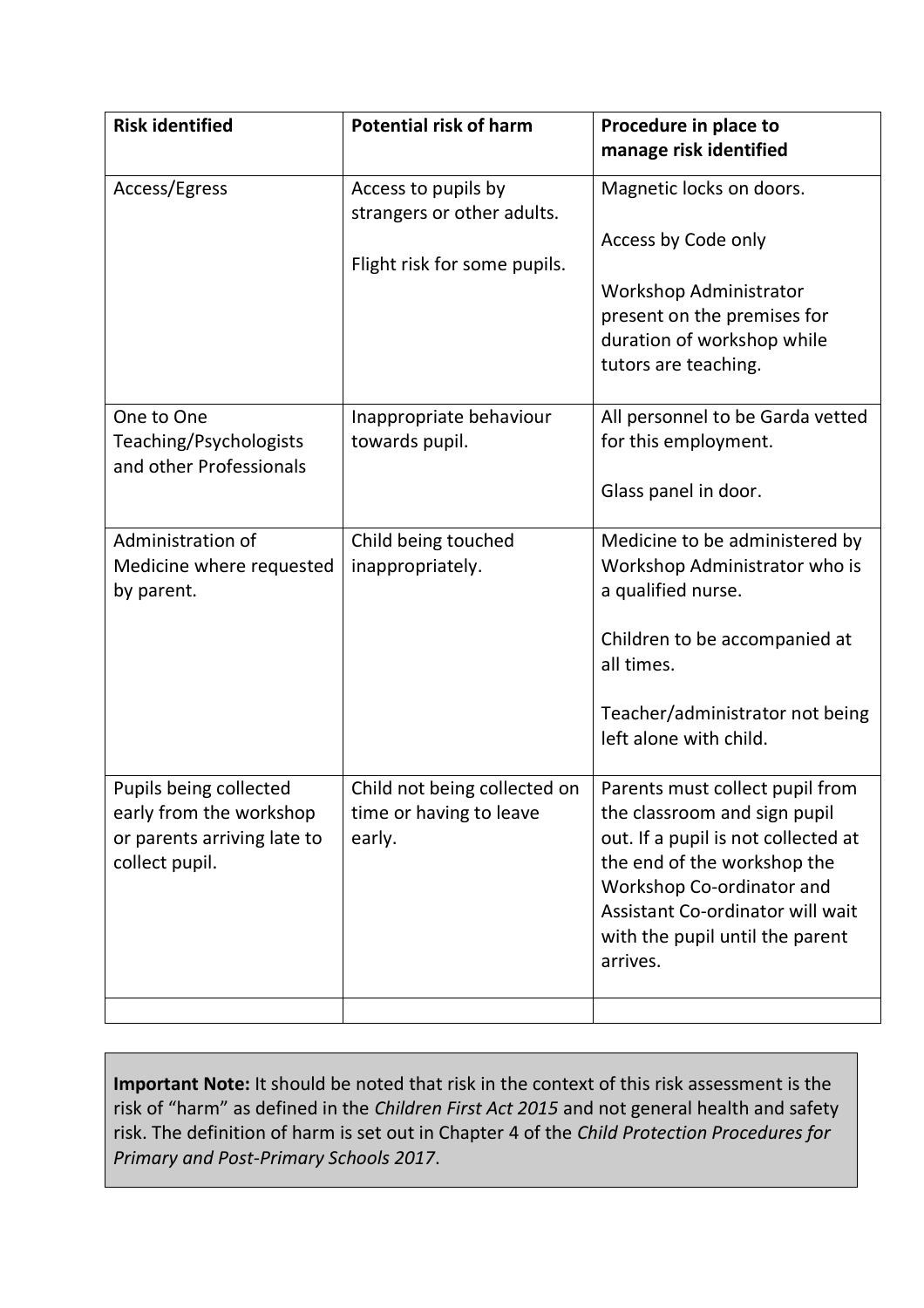| <b>Risk identified</b>                                                                             | <b>Potential risk of harm</b>                                                     | Procedure in place to<br>manage risk identified                                                                                                                                                                                                       |
|----------------------------------------------------------------------------------------------------|-----------------------------------------------------------------------------------|-------------------------------------------------------------------------------------------------------------------------------------------------------------------------------------------------------------------------------------------------------|
| Access/Egress                                                                                      | Access to pupils by<br>strangers or other adults.<br>Flight risk for some pupils. | Magnetic locks on doors.<br>Access by Code only<br>Workshop Administrator<br>present on the premises for<br>duration of workshop while<br>tutors are teaching.                                                                                        |
| One to One<br>Teaching/Psychologists<br>and other Professionals                                    | Inappropriate behaviour<br>towards pupil.                                         | All personnel to be Garda vetted<br>for this employment.<br>Glass panel in door.                                                                                                                                                                      |
| Administration of<br>Medicine where requested<br>by parent.                                        | Child being touched<br>inappropriately.                                           | Medicine to be administered by<br>Workshop Administrator who is<br>a qualified nurse.<br>Children to be accompanied at<br>all times.<br>Teacher/administrator not being<br>left alone with child.                                                     |
| Pupils being collected<br>early from the workshop<br>or parents arriving late to<br>collect pupil. | Child not being collected on<br>time or having to leave<br>early.                 | Parents must collect pupil from<br>the classroom and sign pupil<br>out. If a pupil is not collected at<br>the end of the workshop the<br>Workshop Co-ordinator and<br>Assistant Co-ordinator will wait<br>with the pupil until the parent<br>arrives. |
|                                                                                                    |                                                                                   |                                                                                                                                                                                                                                                       |

**Important Note:** It should be noted that risk in the context of this risk assessment is the risk of "harm" as defined in the *Children First Act 2015* and not general health and safety risk. The definition of harm is set out in Chapter 4 of the *Child Protection Procedures for Primary and Post-Primary Schools 2017*.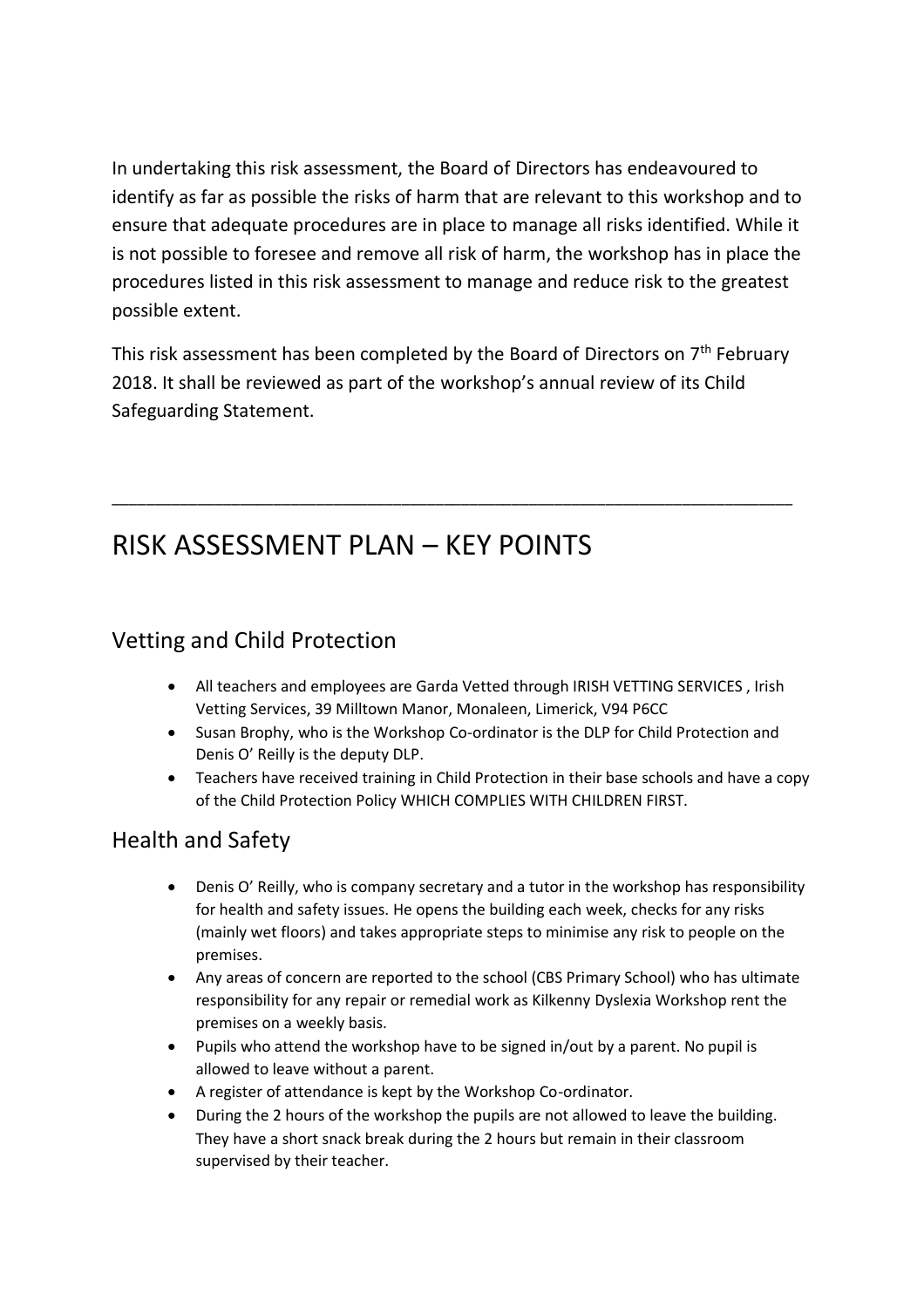In undertaking this risk assessment, the Board of Directors has endeavoured to identify as far as possible the risks of harm that are relevant to this workshop and to ensure that adequate procedures are in place to manage all risks identified. While it is not possible to foresee and remove all risk of harm, the workshop has in place the procedures listed in this risk assessment to manage and reduce risk to the greatest possible extent.

This risk assessment has been completed by the Board of Directors on 7<sup>th</sup> February 2018. It shall be reviewed as part of the workshop's annual review of its Child Safeguarding Statement.

\_\_\_\_\_\_\_\_\_\_\_\_\_\_\_\_\_\_\_\_\_\_\_\_\_\_\_\_\_\_\_\_\_\_\_\_\_\_\_\_\_\_\_\_\_\_\_\_\_\_\_\_\_\_\_\_\_\_\_\_\_\_\_\_\_\_\_\_\_\_\_\_\_\_\_\_\_\_\_\_

## RISK ASSESSMENT PLAN – KEY POINTS

### Vetting and Child Protection

- All teachers and employees are Garda Vetted through IRISH VETTING SERVICES , Irish Vetting Services, 39 Milltown Manor, Monaleen, Limerick, V94 P6CC
- Susan Brophy, who is the Workshop Co-ordinator is the DLP for Child Protection and Denis O' Reilly is the deputy DLP.
- Teachers have received training in Child Protection in their base schools and have a copy of the Child Protection Policy WHICH COMPLIES WITH CHILDREN FIRST.

### Health and Safety

- Denis O' Reilly, who is company secretary and a tutor in the workshop has responsibility for health and safety issues. He opens the building each week, checks for any risks (mainly wet floors) and takes appropriate steps to minimise any risk to people on the premises.
- Any areas of concern are reported to the school (CBS Primary School) who has ultimate responsibility for any repair or remedial work as Kilkenny Dyslexia Workshop rent the premises on a weekly basis.
- Pupils who attend the workshop have to be signed in/out by a parent. No pupil is allowed to leave without a parent.
- A register of attendance is kept by the Workshop Co-ordinator.
- During the 2 hours of the workshop the pupils are not allowed to leave the building. They have a short snack break during the 2 hours but remain in their classroom supervised by their teacher.